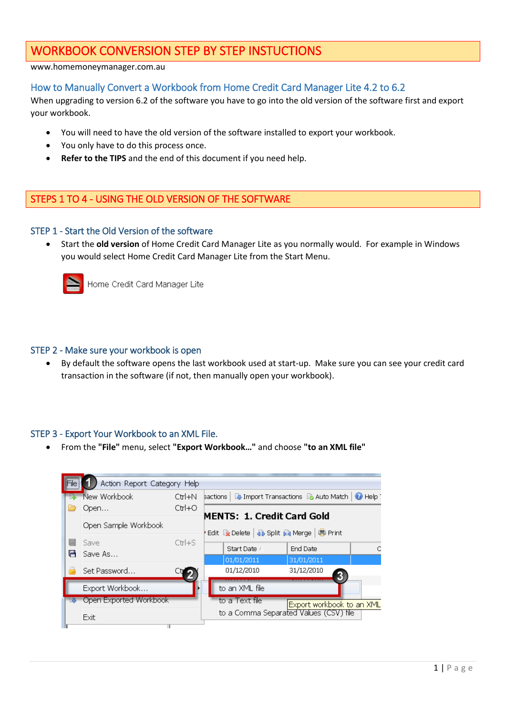# WORKBOOK CONVERSION STEP BY STEP INSTUCTIONS

#### www.homemoneymanager.com.au

# How to Manually Convert a Workbook from Home Credit Card Manager Lite 4.2 to 6.2

When upgrading to version 6.2 of the software you have to go into the old version of the software first and export your workbook.

- You will need to have the old version of the software installed to export your workbook.
- You only have to do this process once.
- **Refer to the TIPS** and the end of this document if you need help.

## STEPS 1 TO 4 - USING THE OLD VERSION OF THE SOFTWARE

#### STEP 1 - Start the Old Version of the software

 Start the **old version** of Home Credit Card Manager Lite as you normally would. For example in Windows you would select Home Credit Card Manager Lite from the Start Menu.



Home Credit Card Manager Lite

#### STEP 2 - Make sure your workbook is open

 By default the software opens the last workbook used at start-up. Make sure you can see your credit card transaction in the software (if not, then manually open your workbook).

#### STEP 3 - Export Your Workbook to an XML File.

From the **"File"** menu, select **"Export Workbook…"** and choose **"to an XML file"**

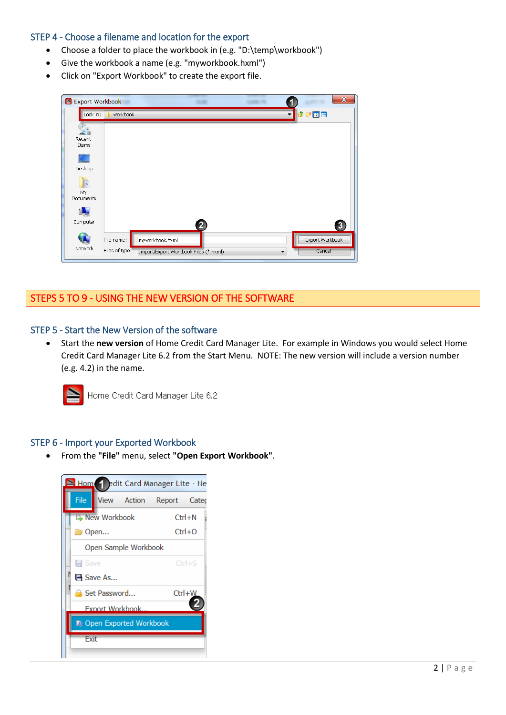### STEP 4 - Choose a filename and location for the export

- Choose a folder to place the workbook in (e.g. "D:\temp\workbook")
- Give the workbook a name (e.g. "myworkbook.hxml")
- Click on "Export Workbook" to create the export file.

| <b>Export Workbook</b>           |                              |                                                          |                         |                          |                           | $\mathbf x$ |
|----------------------------------|------------------------------|----------------------------------------------------------|-------------------------|--------------------------|---------------------------|-------------|
| Look in:                         | workbook                     |                                                          |                         |                          | <b>DEE</b>                |             |
| $\frac{1}{2}$<br>Recent<br>Items |                              |                                                          |                         |                          |                           |             |
| ٠<br>Desktop                     |                              |                                                          |                         |                          |                           |             |
| 目に<br>My<br>Documents            |                              |                                                          |                         |                          |                           |             |
| Computer                         |                              |                                                          | $\overline{\mathbf{2}}$ |                          |                           | $\bf{3}$    |
| T.<br>Network                    | File name:<br>Files of type: | myworkbook.hxml<br>Import/Export Workbook Files (*.hxml) |                         | $\overline{\phantom{a}}$ | Export Workbook<br>Cancel |             |
|                                  |                              |                                                          |                         |                          |                           |             |

# STEPS 5 TO 9 - USING THE NEW VERSION OF THE SOFTWARE

### STEP 5 - Start the New Version of the software

 Start the **new version** of Home Credit Card Manager Lite. For example in Windows you would select Home Credit Card Manager Lite 6.2 from the Start Menu. NOTE: The new version will include a version number (e.g. 4.2) in the name.



Home Credit Card Manager Lite 6.2

#### STEP 6 - Import your Exported Workbook

From the **"File"** menu, select **"Open Export Workbook"**.

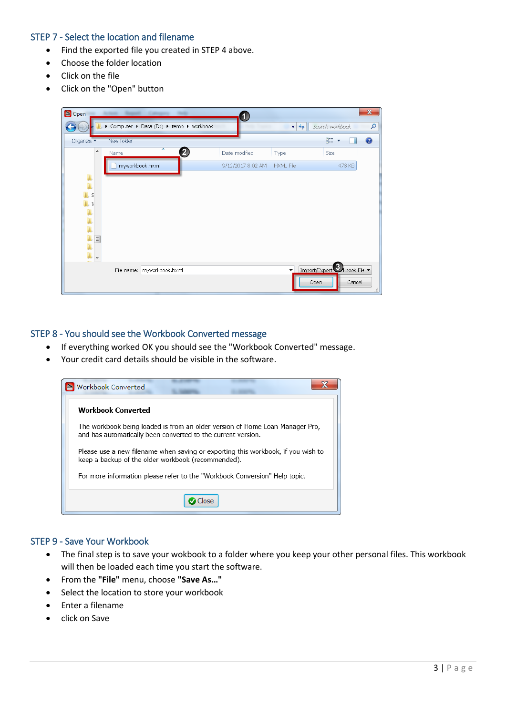### STEP 7 - Select the location and filename

- Find the exported file you created in STEP 4 above.
- Choose the folder location
- Click on the file
- Click on the "Open" button

| $\triangle$ Open    |                                          | 1                           |                          | $\mathbf{x}$              |
|---------------------|------------------------------------------|-----------------------------|--------------------------|---------------------------|
|                     | ▶ Computer ▶ Data (D:) ▶ temp ▶ workbook |                             | $-14$                    | م<br>Search workbook      |
| Organize v          | New folder                               |                             |                          | 88 ▼<br>ℯ<br>п            |
| ▲                   | ∽<br>2<br>Name                           | Date modified               | Type                     | Size                      |
|                     | myworkbook.hxml                          | 9/12/2017 8:02 AM HXML File |                          | 478 KB                    |
| $\frac{1}{L}$       |                                          |                             |                          |                           |
| $\mathsf S$         |                                          |                             |                          |                           |
| l. t                |                                          |                             |                          |                           |
| ן<br>ג              |                                          |                             |                          |                           |
| $\mathbf{L} \equiv$ |                                          |                             |                          |                           |
|                     |                                          |                             |                          |                           |
|                     | File name: myworkbook.hxml               |                             | $\overline{\phantom{a}}$ | Import/Export Xkbook File |
|                     |                                          |                             | Open                     | Cancel                    |
|                     |                                          |                             |                          | $\mathbb{H}$              |

### STEP 8 - You should see the Workbook Converted message

- If everything worked OK you should see the "Workbook Converted" message.
- Your credit card details should be visible in the software.



#### STEP 9 - Save Your Workbook

- The final step is to save your wokbook to a folder where you keep your other personal files. This workbook will then be loaded each time you start the software.
- From the **"File"** menu, choose **"Save As…"**
- Select the location to store your workbook
- Enter a filename
- click on Save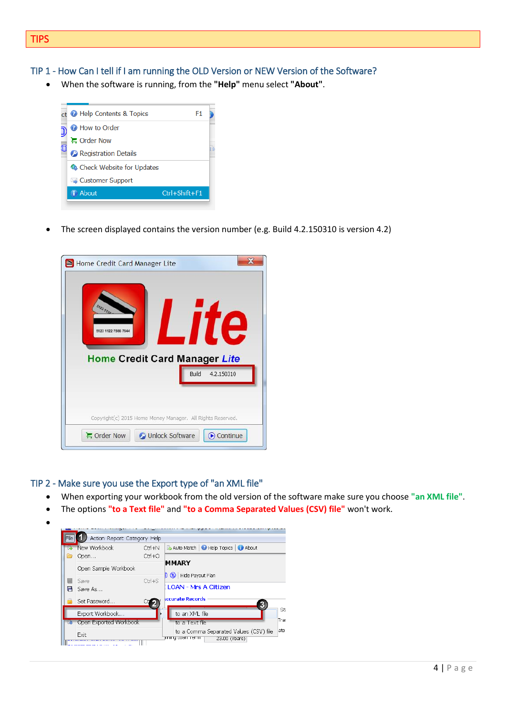#### TIP 1 - How Can I tell if I am running the OLD Version or NEW Version of the Software?

When the software is running, from the **"Help"** menu select **"About"**.



The screen displayed contains the version number (e.g. Build 4.2.150310 is version 4.2)



#### TIP 2 - Make sure you use the Export type of "an XML file"

- When exporting your workbook from the old version of the software make sure you choose **"an XML file"**.
- The options **"to a Text file"** and **"to a Comma Separated Values (CSV) file"** won't work.
- $\bullet$